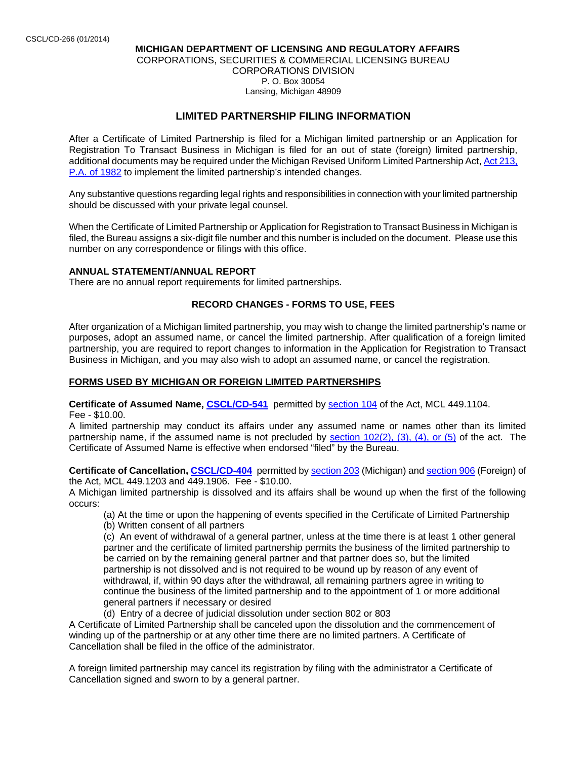### **MICHIGAN DEPARTMENT OF LICENSING AND REGULATORY AFFAIRS**  CORPORATIONS, SECURITIES & COMMERCIAL LICENSING BUREAU CORPORATIONS DIVISION P. O. Box 30054 Lansing, Michigan 48909

# **LIMITED PARTNERSHIP FILING INFORMATION**

After a Certificate of Limited Partnership is filed for a Michigan limited partnership or an Application for Registration To Transact Business in Michigan is filed for an out of state (foreign) limited partnership, additional documents may be required under the Michigan Revised Uniform Limited Partnership Act, Act 213, P.A. of 1982 to implement the limited partnership's intended changes.

Any substantive questions regarding legal rights and responsibilities in connection with your limited partnership should be discussed with your private legal counsel.

When the Certificate of Limited Partnership or Application for Registration to Transact Business in Michigan is filed, the Bureau assigns a six-digit file number and this number is included on the document. Please use this number on any correspondence or filings with this office.

### **ANNUAL STATEMENT/ANNUAL REPORT**

There are no annual report requirements for limited partnerships.

### **RECORD CHANGES - FORMS TO USE, FEES**

After organization of a Michigan limited partnership, you may wish to change the limited partnership's name or purposes, adopt an assumed name, or cancel the limited partnership. After qualification of a foreign limited partnership, you are required to report changes to information in the Application for Registration to Transact Business in Michigan, and you may also wish to adopt an assumed name, or cancel the registration.

### **FORMS USED BY MICHIGAN OR FOREIGN LIMITED PARTNERSHIPS**

**Certificate of Assumed Name, CSCL/CD-541** permitted by section 104 of the Act, MCL 449.1104. Fee - \$10.00.

A limited partnership may conduct its affairs under any assumed name or names other than its limited partnership name, if the assumed name is not precluded by section  $102(2)$ ,  $(3)$ ,  $(4)$ , or  $(5)$  of the act. The Certificate of Assumed Name is effective when endorsed "filed" by the Bureau.

**Certificate of Cancellation, CSCL/CD-404** permitted by section 203 (Michigan) and section 906 (Foreign) of the Act, MCL 449.1203 and 449.1906.Fee - \$10.00.

A Michigan limited partnership is dissolved and its affairs shall be wound up when the first of the following occurs:

(a) At the time or upon the happening of events specified in the Certificate of Limited Partnership

(b) Written consent of all partners

(c) An event of withdrawal of a general partner, unless at the time there is at least 1 other general partner and the certificate of limited partnership permits the business of the limited partnership to be carried on by the remaining general partner and that partner does so, but the limited partnership is not dissolved and is not required to be wound up by reason of any event of withdrawal, if, within 90 days after the withdrawal, all remaining partners agree in writing to continue the business of the limited partnership and to the appointment of 1 or more additional general partners if necessary or desired

(d) Entry of a decree of judicial dissolution under section 802 or 803

A Certificate of Limited Partnership shall be canceled upon the dissolution and the commencement of winding up of the partnership or at any other time there are no limited partners. A Certificate of Cancellation shall be filed in the office of the administrator.

A foreign limited partnership may cancel its registration by filing with the administrator a Certificate of Cancellation signed and sworn to by a general partner.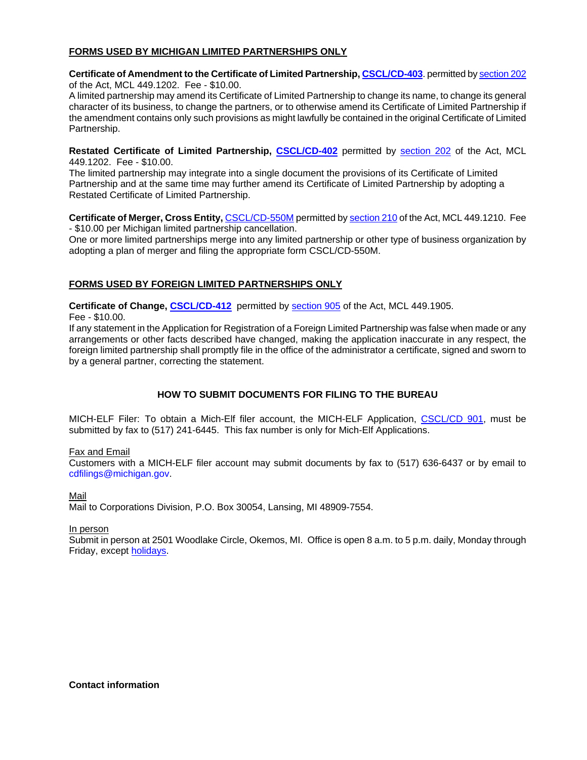## **FORMS USED BY MICHIGAN LIMITED PARTNERSHIPS ONLY**

### **Certificate of Amendment to the Certificate of Limited Partnership, CSCL/CD-403**. permitted by section 202 of the Act, MCL 449.1202. Fee - \$10.00.

A limited partnership may amend its Certificate of Limited Partnership to change its name, to change its general character of its business, to change the partners, or to otherwise amend its Certificate of Limited Partnership if the amendment contains only such provisions as might lawfully be contained in the original Certificate of Limited Partnership.

**Restated Certificate of Limited Partnership, CSCL/CD-402** permitted by section 202 of the Act, MCL 449.1202. Fee - \$10.00.

The limited partnership may integrate into a single document the provisions of its Certificate of Limited Partnership and at the same time may further amend its Certificate of Limited Partnership by adopting a Restated Certificate of Limited Partnership.

**Certificate of Merger, Cross Entity,** CSCL/CD-550M permitted by section 210 of the Act, MCL 449.1210. Fee - \$10.00 per Michigan limited partnership cancellation.

One or more limited partnerships merge into any limited partnership or other type of business organization by adopting a plan of merger and filing the appropriate form CSCL/CD-550M.

### **FORMS USED BY FOREIGN LIMITED PARTNERSHIPS ONLY**

**Certificate of Change, CSCL/CD-412** permitted by section 905 of the Act, MCL 449.1905. Fee - \$10.00.

If any statement in the Application for Registration of a Foreign Limited Partnership was false when made or any arrangements or other facts described have changed, making the application inaccurate in any respect, the foreign limited partnership shall promptly file in the office of the administrator a certificate, signed and sworn to by a general partner, correcting the statement.

## **HOW TO SUBMIT DOCUMENTS FOR FILING TO THE BUREAU**

MICH-ELF Filer: To obtain a Mich-Elf filer account, the MICH-ELF Application, CSCL/CD 901, must be submitted by fax to (517) 241-6445. This fax number is only for Mich-Elf Applications.

### Fax and Email

Customers with a MICH-ELF filer account may submit documents by fax to (517) 636-6437 or by email to cdfilings@michigan.gov.

### Mail

Mail to Corporations Division, P.O. Box 30054, Lansing, MI 48909-7554.

### In person

Submit in person at 2501 Woodlake Circle, Okemos, MI. Office is open 8 a.m. to 5 p.m. daily, Monday through Friday, except holidays.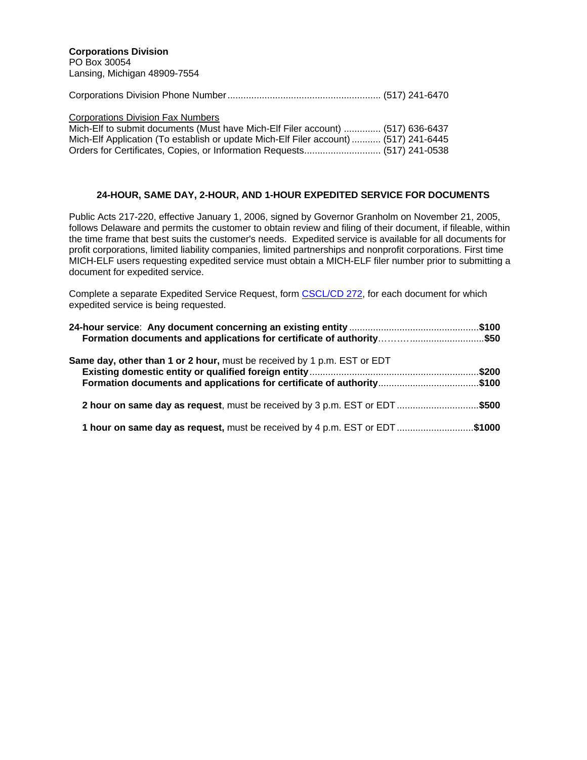|--|--|--|

#### Corporations Division Fax Numbers

| Mich-Elf to submit documents (Must have Mich-Elf Filer account)  (517) 636-6437      |  |
|--------------------------------------------------------------------------------------|--|
| Mich-Elf Application (To establish or update Mich-Elf Filer account)  (517) 241-6445 |  |
| Orders for Certificates, Copies, or Information Requests (517) 241-0538              |  |

### **24-HOUR, SAME DAY, 2-HOUR, AND 1-HOUR EXPEDITED SERVICE FOR DOCUMENTS**

Public Acts 217-220, effective January 1, 2006, signed by Governor Granholm on November 21, 2005, follows Delaware and permits the customer to obtain review and filing of their document, if fileable, within the time frame that best suits the customer's needs. Expedited service is available for all documents for profit corporations, limited liability companies, limited partnerships and nonprofit corporations. First time MICH-ELF users requesting expedited service must obtain a MICH-ELF filer number prior to submitting a document for expedited service.

Complete a separate Expedited Service Request, form CSCL/CD 272, for each document for which expedited service is being requested.

| <b>Same day, other than 1 or 2 hour, must be received by 1 p.m. EST or EDT</b><br><b>Formation documents and applications for certificate of authority\$100</b> |  |  |
|-----------------------------------------------------------------------------------------------------------------------------------------------------------------|--|--|
| 2 hour on same day as request, must be received by 3 p.m. EST or EDT\$500                                                                                       |  |  |
| 1 hour on same day as request, must be received by 4 p.m. EST or EDT\$1000                                                                                      |  |  |